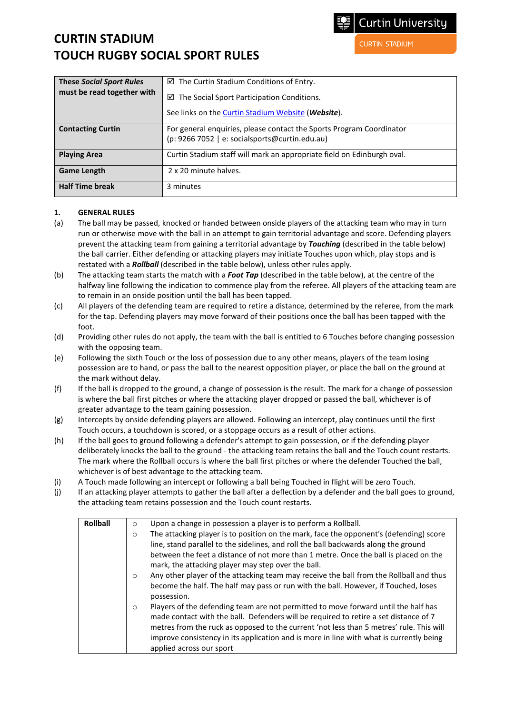# **CURTIN STADIUM TOUCH RUGBY SOCIAL SPORT RULES**

**CURTIN STADIUM** 

| <b>These Social Sport Rules</b> | $\boxtimes$ The Curtin Stadium Conditions of Entry.                                                                    |
|---------------------------------|------------------------------------------------------------------------------------------------------------------------|
| must be read together with      | $\boxtimes$ The Social Sport Participation Conditions.                                                                 |
|                                 | See links on the Curtin Stadium Website (Website).                                                                     |
| <b>Contacting Curtin</b>        | For general enquiries, please contact the Sports Program Coordinator<br>(p: 9266 7052   e: socialsports@curtin.edu.au) |
| <b>Playing Area</b>             | Curtin Stadium staff will mark an appropriate field on Edinburgh oval.                                                 |
| <b>Game Length</b>              | 2 x 20 minute halves.                                                                                                  |
| <b>Half Time break</b>          | 3 minutes                                                                                                              |

## **1. GENERAL RULES**

- (a) The ball may be passed, knocked or handed between onside players of the attacking team who may in turn run or otherwise move with the ball in an attempt to gain territorial advantage and score. Defending players prevent the attacking team from gaining a territorial advantage by *Touching* (described in the table below) the ball carrier. Either defending or attacking players may initiate Touches upon which, play stops and is restated with a *Rollball* (described in the table below), unless other rules apply.
- (b) The attacking team starts the match with a *Foot Tap* (described in the table below), at the centre of the halfway line following the indication to commence play from the referee. All players of the attacking team are to remain in an onside position until the ball has been tapped.
- (c) All players of the defending team are required to retire a distance, determined by the referee, from the mark for the tap. Defending players may move forward of their positions once the ball has been tapped with the foot.
- (d) Providing other rules do not apply, the team with the ball is entitled to 6 Touches before changing possession with the opposing team.
- (e) Following the sixth Touch or the loss of possession due to any other means, players of the team losing possession are to hand, or pass the ball to the nearest opposition player, or place the ball on the ground at the mark without delay.
- (f) If the ball is dropped to the ground, a change of possession is the result. The mark for a change of possession is where the ball first pitches or where the attacking player dropped or passed the ball, whichever is of greater advantage to the team gaining possession.
- (g) Intercepts by onside defending players are allowed. Following an intercept, play continues until the first Touch occurs, a touchdown is scored, or a stoppage occurs as a result of other actions.
- (h) If the ball goes to ground following a defender's attempt to gain possession, or if the defending player deliberately knocks the ball to the ground - the attacking team retains the ball and the Touch count restarts. The mark where the Rollball occurs is where the ball first pitches or where the defender Touched the ball, whichever is of best advantage to the attacking team.
- (i) A Touch made following an intercept or following a ball being Touched in flight will be zero Touch.
- (j) If an attacking player attempts to gather the ball after a deflection by a defender and the ball goes to ground, the attacking team retains possession and the Touch count restarts.

| <b>Rollball</b> | Upon a change in possession a player is to perform a Rollball.<br>$\circ$                                                                                                             |
|-----------------|---------------------------------------------------------------------------------------------------------------------------------------------------------------------------------------|
|                 | The attacking player is to position on the mark, face the opponent's (defending) score<br>$\circ$                                                                                     |
|                 | line, stand parallel to the sidelines, and roll the ball backwards along the ground                                                                                                   |
|                 | between the feet a distance of not more than 1 metre. Once the ball is placed on the<br>mark, the attacking player may step over the ball.                                            |
|                 | Any other player of the attacking team may receive the ball from the Rollball and thus<br>$\circ$                                                                                     |
|                 | become the half. The half may pass or run with the ball. However, if Touched, loses<br>possession.                                                                                    |
|                 | Players of the defending team are not permitted to move forward until the half has<br>$\circ$<br>made contact with the ball. Defenders will be required to retire a set distance of 7 |
|                 | metres from the ruck as opposed to the current 'not less than 5 metres' rule. This will                                                                                               |
|                 | improve consistency in its application and is more in line with what is currently being                                                                                               |
|                 | applied across our sport                                                                                                                                                              |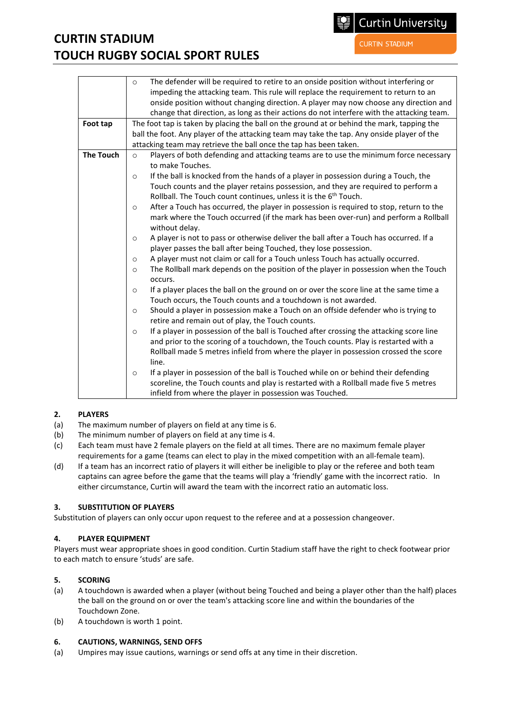# **CURTIN STADIUM TOUCH RUGBY SOCIAL SPORT RULES**

**CURTIN STADIUM** 

**Curtin University** 

|                  | The defender will be required to retire to an onside position without interfering or<br>$\circ$<br>impeding the attacking team. This rule will replace the requirement to return to an<br>onside position without changing direction. A player may now choose any direction and                                                                                                                                                                                                                                                                                                                                                                                                                                                                                                                                                                                                                                                                                                                                                                                                                                                                                                                                                                                                                                                                                                                                                                                                                                                                                                                                                                                                                                                |
|------------------|--------------------------------------------------------------------------------------------------------------------------------------------------------------------------------------------------------------------------------------------------------------------------------------------------------------------------------------------------------------------------------------------------------------------------------------------------------------------------------------------------------------------------------------------------------------------------------------------------------------------------------------------------------------------------------------------------------------------------------------------------------------------------------------------------------------------------------------------------------------------------------------------------------------------------------------------------------------------------------------------------------------------------------------------------------------------------------------------------------------------------------------------------------------------------------------------------------------------------------------------------------------------------------------------------------------------------------------------------------------------------------------------------------------------------------------------------------------------------------------------------------------------------------------------------------------------------------------------------------------------------------------------------------------------------------------------------------------------------------|
|                  | change that direction, as long as their actions do not interfere with the attacking team.                                                                                                                                                                                                                                                                                                                                                                                                                                                                                                                                                                                                                                                                                                                                                                                                                                                                                                                                                                                                                                                                                                                                                                                                                                                                                                                                                                                                                                                                                                                                                                                                                                      |
| Foot tap         | The foot tap is taken by placing the ball on the ground at or behind the mark, tapping the<br>ball the foot. Any player of the attacking team may take the tap. Any onside player of the<br>attacking team may retrieve the ball once the tap has been taken.                                                                                                                                                                                                                                                                                                                                                                                                                                                                                                                                                                                                                                                                                                                                                                                                                                                                                                                                                                                                                                                                                                                                                                                                                                                                                                                                                                                                                                                                  |
| <b>The Touch</b> | Players of both defending and attacking teams are to use the minimum force necessary<br>$\circ$<br>to make Touches.<br>If the ball is knocked from the hands of a player in possession during a Touch, the<br>$\circ$<br>Touch counts and the player retains possession, and they are required to perform a<br>Rollball. The Touch count continues, unless it is the 6 <sup>th</sup> Touch.<br>After a Touch has occurred, the player in possession is required to stop, return to the<br>$\circ$<br>mark where the Touch occurred (if the mark has been over-run) and perform a Rollball<br>without delay.<br>A player is not to pass or otherwise deliver the ball after a Touch has occurred. If a<br>$\circ$<br>player passes the ball after being Touched, they lose possession.<br>A player must not claim or call for a Touch unless Touch has actually occurred.<br>$\circ$<br>The Rollball mark depends on the position of the player in possession when the Touch<br>$\circ$<br>occurs.<br>If a player places the ball on the ground on or over the score line at the same time a<br>$\circ$<br>Touch occurs, the Touch counts and a touchdown is not awarded.<br>Should a player in possession make a Touch on an offside defender who is trying to<br>$\circ$<br>retire and remain out of play, the Touch counts.<br>If a player in possession of the ball is Touched after crossing the attacking score line<br>$\circ$<br>and prior to the scoring of a touchdown, the Touch counts. Play is restarted with a<br>Rollball made 5 metres infield from where the player in possession crossed the score<br>line.<br>If a player in possession of the ball is Touched while on or behind their defending<br>$\circ$ |
|                  | scoreline, the Touch counts and play is restarted with a Rollball made five 5 metres<br>infield from where the player in possession was Touched.                                                                                                                                                                                                                                                                                                                                                                                                                                                                                                                                                                                                                                                                                                                                                                                                                                                                                                                                                                                                                                                                                                                                                                                                                                                                                                                                                                                                                                                                                                                                                                               |

#### **2. PLAYERS**

- (a) The maximum number of players on field at any time is 6.
- (b) The minimum number of players on field at any time is 4.
- (c) Each team must have 2 female players on the field at all times. There are no maximum female player requirements for a game (teams can elect to play in the mixed competition with an all-female team).
- (d) If a team has an incorrect ratio of players it will either be ineligible to play or the referee and both team captains can agree before the game that the teams will play a 'friendly' game with the incorrect ratio. In either circumstance, Curtin will award the team with the incorrect ratio an automatic loss.

# **3. SUBSTITUTION OF PLAYERS**

Substitution of players can only occur upon request to the referee and at a possession changeover.

# **4. PLAYER EQUIPMENT**

Players must wear appropriate shoes in good condition. Curtin Stadium staff have the right to check footwear prior to each match to ensure 'studs' are safe.

### **5. SCORING**

- (a) A touchdown is awarded when a player (without being Touched and being a player other than the half) places the ball on the ground on or over the team's attacking score line and within the boundaries of the Touchdown Zone.
- (b) A touchdown is worth 1 point.

#### **6. CAUTIONS, WARNINGS, SEND OFFS**

(a) Umpires may issue cautions, warnings or send offs at any time in their discretion.